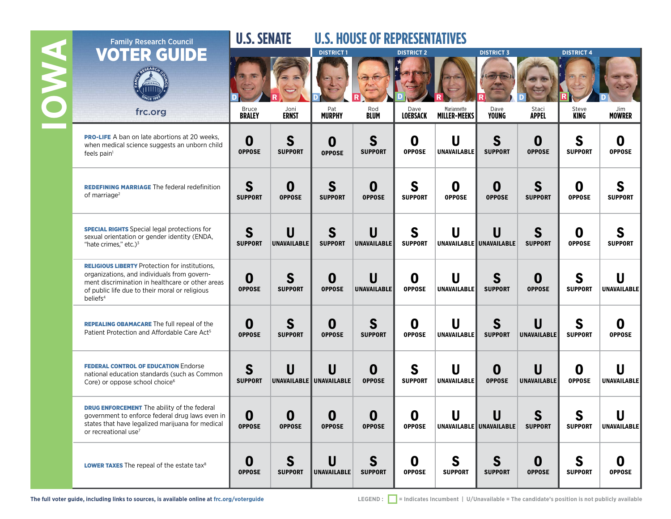|               | <b>Family Research Council</b>                                                                                                                                                                                                     | <b>U.S. SENATE</b>     |                     | <b>U.S. HOUSE OF REPRESENTATIVES</b> |                                   |                              |                                                                                                           |                               |                         |                     |                     |
|---------------|------------------------------------------------------------------------------------------------------------------------------------------------------------------------------------------------------------------------------------|------------------------|---------------------|--------------------------------------|-----------------------------------|------------------------------|-----------------------------------------------------------------------------------------------------------|-------------------------------|-------------------------|---------------------|---------------------|
| <b>NAVAIO</b> | OTER GUIDE<br>mum                                                                                                                                                                                                                  |                        |                     | <b>DISTRICT1</b>                     |                                   | <b>DISTRICT 2</b>            |                                                                                                           | <b>DISTRICT 3</b>             |                         | <b>DISTRICT 4</b>   |                     |
|               | frc.org                                                                                                                                                                                                                            | Bruce<br><b>BRALEY</b> | Joni<br>ERNST       | Pat<br><b>MURPHY</b>                 | Rod<br>Blum                       | Dave<br><b>LOEBSACK</b>      | Mariannette<br><b>MILLER-MEEKS</b>                                                                        | Dave<br>Young                 | Staci<br><b>APPEL</b>   | Steve<br>KING       | Jim<br>MOWRER       |
|               | <b>PRO-LIFE</b> A ban on late abortions at 20 weeks,<br>when medical science suggests an unborn child<br>feels pain <sup>1</sup>                                                                                                   | 0<br><b>OPPOSE</b>     | S<br><b>SUPPORT</b> | 0<br><b>OPPOSE</b>                   | S<br><b>SUPPORT</b>               | 0<br><b>OPPOSE</b>           | U<br>UNAVAILABLE                                                                                          | S<br><b>SUPPORT</b>           | 0<br><b>OPPOSE</b>      | S<br><b>SUPPORT</b> | 0<br><b>OPPOSE</b>  |
|               | <b>REDEFINING MARRIAGE The federal redefinition</b><br>of marriage <sup>2</sup>                                                                                                                                                    | S<br><b>SUPPORT</b>    | 0<br><b>OPPOSE</b>  | S<br><b>SUPPORT</b>                  | $\bf{0}$<br><b>OPPOSE</b>         | S<br><b>SUPPORT</b>          | O<br><b>OPPOSE</b>                                                                                        | O<br><b>OPPOSE</b>            | S<br><b>SUPPORT</b>     | 0<br><b>OPPOSE</b>  | S<br><b>SUPPORT</b> |
|               | <b>SPECIAL RIGHTS</b> Special legal protections for<br>sexual orientation or gender identity (ENDA,<br>"hate crimes," etc.) $3$                                                                                                    | S<br><b>SUPPORT</b>    | U<br>UNAVAILABLE    | S<br><b>SUPPORT</b>                  | U<br>UNAVAILABLE                  | S<br><b>SUPPORT</b>          | U                                                                                                         | U<br>UNAVAILABLE UNAVAILABLE  | S<br><b>SUPPORT</b>     | 0<br><b>OPPOSE</b>  | S<br><b>SUPPORT</b> |
|               | <b>RELIGIOUS LIBERTY Protection for institutions,</b><br>organizations, and individuals from govern-<br>ment discrimination in healthcare or other areas<br>of public life due to their moral or religious<br>beliefs <sup>4</sup> | 0<br><b>OPPOSE</b>     | S<br><b>SUPPORT</b> | $\boldsymbol{0}$<br><b>OPPOSE</b>    | $\mathsf{U}$<br>UNAVAILABLE       | O<br><b>OPPOSE</b>           | U<br>UNAVAILABLE                                                                                          | S<br><b>SUPPORT</b>           | 0<br><b>OPPOSE</b>      | S<br><b>SUPPORT</b> | U<br>UNAVAILABLE    |
|               | <b>REPEALING OBAMACARE The full repeal of the</b><br>Patient Protection and Affordable Care Act <sup>5</sup>                                                                                                                       | 0<br><b>OPPOSE</b>     | S<br><b>SUPPORT</b> | $\boldsymbol{0}$<br><b>OPPOSE</b>    | S<br><b>SUPPORT</b>               | $\mathbf 0$<br><b>OPPOSE</b> | U<br>UNAVAILABLE                                                                                          | S<br><b>SUPPORT</b>           | U<br>UNAVAILABLE        | S<br><b>SUPPORT</b> | 0<br><b>OPPOSE</b>  |
|               | <b>FEDERAL CONTROL OF EDUCATION Endorse</b><br>national education standards (such as Common<br>Core) or oppose school choice <sup>6</sup>                                                                                          | S<br><b>SUPPORT</b>    | U                   | U<br>UNAVAILABLE UNAVAILABLE         | $\boldsymbol{0}$<br><b>OPPOSE</b> | S<br><b>SUPPORT</b>          | U<br>UNAVAILABLE                                                                                          | O<br><b>OPPOSE</b>            | U<br><b>UNAVAILABLE</b> | O<br><b>OPPOSE</b>  | U<br>UNAVAILABLE    |
|               | <b>DRUG ENFORCEMENT</b> The ability of the federal<br>government to enforce federal drug laws even in<br>states that have legalized marijuana for medical<br>or recreational use <sup>7</sup>                                      | O<br><b>OPPOSE</b>     | 0<br><b>OPPOSE</b>  | O<br><b>OPPOSE</b>                   | O<br><b>OPPOSE</b>                | O<br><b>OPPOSE</b>           | U<br>UNAVAILABLE UNAVAILABLE                                                                              | U                             | S<br><b>SUPPORT</b>     | S<br><b>SUPPORT</b> | U<br>UNAVAILABLE    |
|               | <b>LOWER TAXES</b> The repeal of the estate tax <sup>8</sup>                                                                                                                                                                       | 0<br><b>OPPOSE</b>     | S<br><b>SUPPORT</b> | U<br>UNAVAILABLE                     | S<br><b>SUPPORT</b>               | 0<br><b>OPPOSE</b>           | S<br><b>SUPPORT</b>                                                                                       | $\mathbf S$<br><b>SUPPORT</b> | 0<br><b>OPPOSE</b>      | S<br><b>SUPPORT</b> | O<br><b>OPPOSE</b>  |
|               | The full voter guide, including links to sources, is available online at frc.org/voterguide                                                                                                                                        |                        |                     |                                      | LEGEND:                           |                              | $\blacksquare$ = Indicates Incumbent   U/Unavailable = The candidate's position is not publicly available |                               |                         |                     |                     |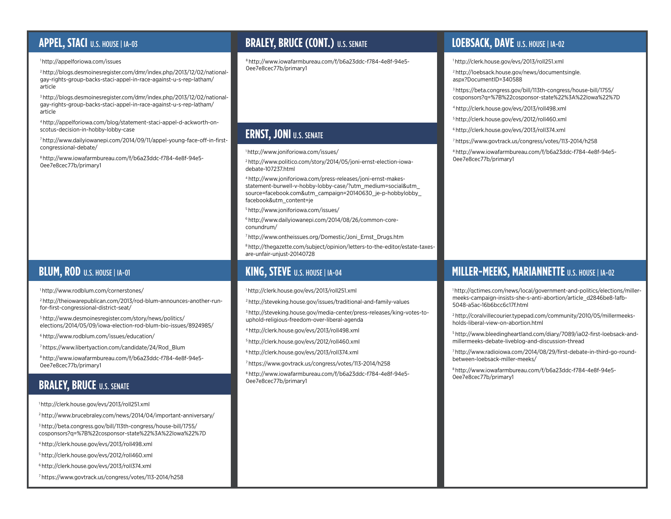# **APPEL, STACI** U.S. HOUSE | IA-03

### 1 http://[appelforiowa.com/issues](http://appelfOriOwa.cOm/issues)

2 http://[blogs.desmoinesregister.com/dmr/index.php/2013/12/02/national](http://blOgs.desmOinesregister.cOm/dmr/index.php/2013/12/02/natiOnal-gay-rights-grOup-backs-staci-appel-in-race-against-u-s-rep-latham/article)[gay-rights-group-backs-staci-appel-in-race-against-u-s-rep-latham/](http://blOgs.desmOinesregister.cOm/dmr/index.php/2013/12/02/natiOnal-gay-rights-grOup-backs-staci-appel-in-race-against-u-s-rep-latham/article) [article](http://blOgs.desmOinesregister.cOm/dmr/index.php/2013/12/02/natiOnal-gay-rights-grOup-backs-staci-appel-in-race-against-u-s-rep-latham/article)

3 [http://blogs.desmoinesregister.com/dmr/index.php/2013/12/02/national](http://blogs.desmoinesregister.com/dmr/index.php/2013/12/02/national-gay-rights-group-backs-staci-appel-in-race-against-u-s-rep-latham/article)[gay-rights-group-backs-staci-appel-in-race-against-u-s-rep-latham/](http://blogs.desmoinesregister.com/dmr/index.php/2013/12/02/national-gay-rights-group-backs-staci-appel-in-race-against-u-s-rep-latham/article) [article](http://blogs.desmoinesregister.com/dmr/index.php/2013/12/02/national-gay-rights-group-backs-staci-appel-in-race-against-u-s-rep-latham/article)

4 [http://appelforiowa.com/blog/statement-staci-appel-d-ackworth-on](http://appelforiowa.com/blog/statement-staci-appel-d-ackworth-on-scotus-decision-in-hobby-lobby-case)[scotus-decision-in-hobby-lobby-case](http://appelforiowa.com/blog/statement-staci-appel-d-ackworth-on-scotus-decision-in-hobby-lobby-case)

7 http:/[/www.dailyiowanepi.com/2014/09/11/appel-young-face-off-in-first](http://www.dailyiOwanepi.cOm/2014/09/11/appel-yOung-face-Off-in-first-cOngressiOnal-debate/)[congressional-debate/](http://www.dailyiOwanepi.cOm/2014/09/11/appel-yOung-face-Off-in-first-cOngressiOnal-debate/)

8 http://[www.iowafarmbureau.com/f/b6a23ddc-f784-4e8f-94e5-](http://www.iOwafarmbureau.cOm/f/b6a23ddc-f784-4e8f-94e5-0ee7e8cec77b/primary1) [0ee7e8cec77b/primary1](http://www.iOwafarmbureau.cOm/f/b6a23ddc-f784-4e8f-94e5-0ee7e8cec77b/primary1)

## **BLUM, ROD U.S. HOUSE | IA-01**

### 1 http://[www.rodblum.com/cornerstones/](http://www.rOdblum.cOm/cOrnerstOnes/)

2 http://[theiowarepublican.com/2013/rod-blum-announces-another-run](http://theiowarepublican.com/2013/rod-blum-announces-another-run-for-first-congressional-district-seat/)[for-first-congressional-district-seat/](http://theiowarepublican.com/2013/rod-blum-announces-another-run-for-first-congressional-district-seat/)

5 http:/[/www.desmoinesregister.com/story/news/politics/](http://www.desmoinesregister.com/story/news/politics/elections/2014/05/09/iowa-election-rod-blum-bio-issues/8924985/) [elections/2014/05/09/iowa-election-rod-blum-bio-issues/8924985/](http://www.desmoinesregister.com/story/news/politics/elections/2014/05/09/iowa-election-rod-blum-bio-issues/8924985/)

6 http://[www.rodblum.com/issues/education/](http://www.rOdblum.cOm/issues/educatiOn/)

7 https:/[/www.libertyaction.com/candidate/24/Rod\\_Blum](http://www.libertyactiOn.cOm/candidate/24/ROd_Blum)

8 http://www[.iowafarmbureau.com/f/b6a23ddc-f784-4e8f-94e5-](http://iOwafarmbureau.cOm/f/b6a23ddc-f784-4e8f-94e5-0ee7e8cec77b/primary1) [0ee7e8cec77b/primary1](http://iOwafarmbureau.cOm/f/b6a23ddc-f784-4e8f-94e5-0ee7e8cec77b/primary1)

## **BRALEY, BRUCE** U.S. SENATE

1 http:/[/clerk.house.gov/evs/2013/roll251.xm](http://clerk.hOuse.gOv/evs/2013/rOll251.xml)l

2<http://www.brucebraley.com/news/2014/04/important>-anniversary/

3 http:/[/beta.congress.gov/bill/113th-congress/house-bill/1755/](http://beta.congress.gov/bill/113th-congress/house-bill/1755/cosponsors?q=%7B%22cosponsor-state%22%3A%22Iowa%22%7D) [cosponsors?q=%7B%22cosponsor-state%22%3A%22Iowa%22%7D](http://beta.congress.gov/bill/113th-congress/house-bill/1755/cosponsors?q=%7B%22cosponsor-state%22%3A%22Iowa%22%7D)

[4 http://clerk.house.gov/evs/2013/roll498.xml](http://clerk.house.gov/evs/2013/roll498.xml)

5 http:[//clerk.house.gov/evs/2012/roll460.xml](http://clerk.house.gov/evs/2012/roll460.xml)

6 http:/[/clerk.house.gov/evs/2013/roll374.xml](http://clerk.house.gov/evs/2013/roll374.xml)

7 https:/[/www.govtrack.us/congress/votes/113-2014/h258](http://www.govtrack.us/congress/votes/113-2014/h258)

## **BRALEY, BRUCE (CONT.)** U.S. SENATE **LOEBSACK, DAVE** U.S. HOUSE | IA-02

8 [http://www.iowafarmbureau.com/f/b6a23ddc-f784-4e8f-94e5-](http://www.iowafarmbureau.com/f/b6a23ddc-f784-4e8f-94e5-0ee7e8cec77b/primary1) [0ee7e8cec77b/primary1](http://www.iowafarmbureau.com/f/b6a23ddc-f784-4e8f-94e5-0ee7e8cec77b/primary1)

# **ERNST, JONI U.S. SENATE**

1 http:/[/www.joniforiowa.com/issues/](http://www.joniforiowa.com/issues/)

2 http:/[/www.politico.com/story/2014/05/joni-ernst-election-iowa](http://www.politico.com/story/2014/05/joni-ernst-election-iowa-debate-107237.html)[debate-107237.html](http://www.politico.com/story/2014/05/joni-ernst-election-iowa-debate-107237.html)

4 [http://www.joniforiowa.com/press-releases/joni-ernst-makes](http://www.joniforiowa.com/press-releases/joni-ernst-makes-statement-burwell-v-hobby-lobby-case/?utm_medium=social&utm_source=facebook.com&utm_campaign=20140630_je-p-hobbylobby_facebook&utm_content=je)[statement-burwell-v-hobby-lobby-case/?utm\\_medium=social&utm\\_](http://www.joniforiowa.com/press-releases/joni-ernst-makes-statement-burwell-v-hobby-lobby-case/?utm_medium=social&utm_source=facebook.com&utm_campaign=20140630_je-p-hobbylobby_facebook&utm_content=je) [source=facebook.com&utm\\_campaign=20140630\\_je-p-hobbylobby\\_](http://www.joniforiowa.com/press-releases/joni-ernst-makes-statement-burwell-v-hobby-lobby-case/?utm_medium=social&utm_source=facebook.com&utm_campaign=20140630_je-p-hobbylobby_facebook&utm_content=je) [facebook&utm\\_content=je](http://www.joniforiowa.com/press-releases/joni-ernst-makes-statement-burwell-v-hobby-lobby-case/?utm_medium=social&utm_source=facebook.com&utm_campaign=20140630_je-p-hobbylobby_facebook&utm_content=je)

5 http:/[/www.joniforiowa.com/issues/](http://www.joniforiowa.com/issues/)

6 [http://www.dailyiowanepi.com/2014/08/26/common-core](http://www.dailyiowanepi.com/2014/08/26/common-core-conundrum/)[conundrum/](http://www.dailyiowanepi.com/2014/08/26/common-core-conundrum/)

7 http:/[/www.ontheissues.org/Domestic/Joni\\_Ernst\\_Drugs.htm](http://www.ontheissues.org/Domestic/Joni_Ernst_Drugs.htm)

8 http:/[/thegazette.com/subject/opinion/letters-to-the-editor/estate-taxes](http://thegazette.com/subject/opinion/letters-to-the-editor/estate-taxes-are-unfair-unjust-20140728)[are-unfair-unjust-20140728](http://thegazette.com/subject/opinion/letters-to-the-editor/estate-taxes-are-unfair-unjust-20140728)

1 http:/[/clerk.house.gov/evs/2013/roll251.xml](http://clerk.house.gov/evs/2013/roll251.xml)

2 http:/[/steveking.house.gov/issues/traditional-and-family-values](http://steveking.house.gov/issues/traditional-and-family-values)

3 [http://steveking.house.gov/media-center/press-releases/king-votes-to](http://steveking.house.gov/media-center/press-releases/king-votes-to-uphold-religious-freedom-over-liberal-agenda)[uphold-religious-freedom-over-liberal-agenda](http://steveking.house.gov/media-center/press-releases/king-votes-to-uphold-religious-freedom-over-liberal-agenda)

4 http:/[/clerk.house.gov/evs/2013/roll498.xml](http://clerk.house.gov/evs/2013/roll498.xml)

5 http:/[/clerk.house.gov/evs/2012/roll460.xml](http://clerk.house.gov/evs/2012/roll460.xml)

6 http:/[/clerk.house.gov/evs/2013/roll374.xml](http://clerk.house.gov/evs/2013/roll374.xml)

7<https://www.govtrack.us/congress/votes/113-2014/h258>

8 http:/[/www.iowafarmbureau.com/f/b6a23ddc-f784-4e8f-94e5-](http://www.iowafarmbureau.com/f/b6a23ddc-f784-4e8f-94e5-0ee7e8cec77b/primary1) [0ee7e8cec77b/primary1](http://www.iowafarmbureau.com/f/b6a23ddc-f784-4e8f-94e5-0ee7e8cec77b/primary1)

1 http:/[/clerk.house.gov/evs/2013/roll251.xml](http://clerk.house.gov/evs/2013/roll251.xml)

2 [http://loebsack.house.gov/news/documentsingle.](http://loebsack.house.gov/news/documentsingle.aspx?DocumentID=340588) [aspx?DocumentID=340588](http://loebsack.house.gov/news/documentsingle.aspx?DocumentID=340588)

3 https:/[/beta.congress.gov/bill/113th-congress/house-bill/1755/](http://beta.congress.gov/bill/113th-congress/house-bill/1755/cosponsors?q=%7B%22cosponsor-state%22%3A%22Iowa%22%7D) [cosponsors?q=%7B%22cosponsor-state%22%3A%22Iowa%22%7D](http://beta.congress.gov/bill/113th-congress/house-bill/1755/cosponsors?q=%7B%22cosponsor-state%22%3A%22Iowa%22%7D)

4 http:/[/clerk.house.gov/evs/2013/roll498.xml](http://clerk.house.gov/evs/2013/roll498.xml)

5 http:/[/clerk.house.gov/evs/2012/roll460.xml](http://clerk.house.gov/evs/2012/roll460.xml)

6 http:/[/clerk.house.gov/evs/2013/roll374.xml](http://clerk.house.gov/evs/2013/roll374.xml)

7 https:[//www.govtrack.us/congress/votes/113-2014/h258](http://www.govtrack.us/congress/votes/113-2014/h258)

8 http:/[/www.iowafarmbureau.com/f/b6a23ddc-f784-4e8f-94e5-](http://www.iowafarmbureau.com/f/b6a23ddc-f784-4e8f-94e5-0ee7e8cec77b/primary1) [0ee7e8cec77b/primary1](http://www.iowafarmbureau.com/f/b6a23ddc-f784-4e8f-94e5-0ee7e8cec77b/primary1)

### **KING, STEVE** U.S. HOUSE | IA-04 **MILLER-MEEKS, MARIANNETTE** U.S. HOUSE | IA-02

1 http:/[/qctimes.com/news/local/government-and-politics/elections/miller](http://qctimes.com/news/local/government-and-politics/elections/miller-meeks-campaign-insists-she-s-anti-abortion/article_d2846be8-1afb-5048-a5ac-16b6bcc6c17f.html)[meeks-campaign-insists-she-s-anti-abortion/article\\_d2846be8-1afb-](http://qctimes.com/news/local/government-and-politics/elections/miller-meeks-campaign-insists-she-s-anti-abortion/article_d2846be8-1afb-5048-a5ac-16b6bcc6c17f.html)[5048-a5ac-16b6bcc6c17f.html](http://qctimes.com/news/local/government-and-politics/elections/miller-meeks-campaign-insists-she-s-anti-abortion/article_d2846be8-1afb-5048-a5ac-16b6bcc6c17f.html)

2 http:/[/coralvillecourier.typepad.com/community/2010/05/millermeeks](http://coralvillecourier.typepad.com/community/2010/05/millermeeks-holds-liberal-view-on-abortion.html)[holds-liberal-view-on-abortion.html](http://coralvillecourier.typepad.com/community/2010/05/millermeeks-holds-liberal-view-on-abortion.html)

5 [http://www.bleedingheartland.com/diary/7089/ia02-first-loebsack-and](http://www.bleedingheartland.com/diary/7089/ia02-first-loebsack-and-millermeeks-debate-liveblog-and-discussion-thread)[millermeeks-debate-liveblog-and-discussion-thread](http://www.bleedingheartland.com/diary/7089/ia02-first-loebsack-and-millermeeks-debate-liveblog-and-discussion-thread)

7 http:/[/www.radioiowa.com/2014/08/29/first-debate-in-third-go-round](http://www.radioiowa.com/2014/08/29/first-debate-in-third-go-round-between-loebsack-miller-meeks/)[between-loebsack-miller-meeks/](http://www.radioiowa.com/2014/08/29/first-debate-in-third-go-round-between-loebsack-miller-meeks/)

8 http:[//www.iowafarmbureau.com/f/b6a23ddc-f784-4e8f-94e5-](http://www.iowafarmbureau.com/f/b6a23ddc-f784-4e8f-94e5-0ee7e8cec77b/primary1) [0ee7e8cec77b/primary1](http://www.iowafarmbureau.com/f/b6a23ddc-f784-4e8f-94e5-0ee7e8cec77b/primary1)